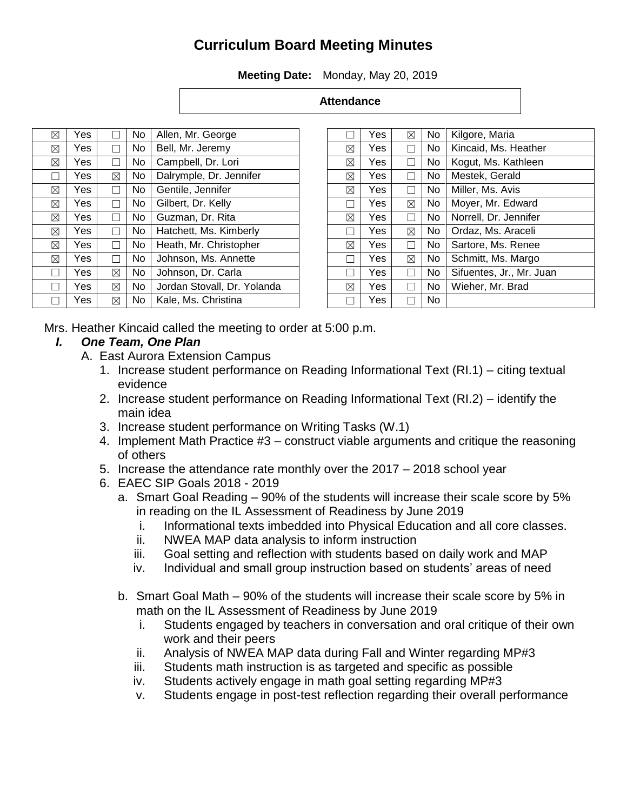# **Curriculum Board Meeting Minutes**

**Meeting Date:** Monday, May 20, 2019

| <b>Attendance</b> |
|-------------------|
|-------------------|

| ⊠           | Yes  |   | No. | Allen, Mr. George           |
|-------------|------|---|-----|-----------------------------|
| ⊠           | Yes  |   | No. | Bell, Mr. Jeremy            |
| $\boxtimes$ | Yes  |   | No. | Campbell, Dr. Lori          |
|             | Yes  | ⊠ | No. | Dalrymple, Dr. Jennifer     |
| ⊠           | Yes  |   | No. | Gentile, Jennifer           |
| ⊠           | Yes. |   | No. | Gilbert, Dr. Kelly          |
| $\boxtimes$ | Yes  |   | No. | Guzman, Dr. Rita            |
| ⊠           | Yes  |   | No. | Hatchett, Ms. Kimberly      |
| ⊠           | Yes  |   | No. | Heath, Mr. Christopher      |
| ⊠           | Yes  |   | No. | Johnson, Ms. Annette        |
|             | Yes  | ⊠ | No. | Johnson, Dr. Carla          |
|             | Yes. | ⊠ | No. | Jordan Stovall, Dr. Yolanda |
|             | Yes  | ⊠ | No  | Kale, Ms. Christina         |
|             |      |   |     |                             |

|   | Yes | $\boxtimes$  | No. | Kilgore, Maria           |
|---|-----|--------------|-----|--------------------------|
| ⊠ | Yes | $\mathsf{L}$ | No  | Kincaid, Ms. Heather     |
| ⊠ | Yes |              | No. | Kogut, Ms. Kathleen      |
| ⊠ | Yes |              | No. | Mestek, Gerald           |
| ⊠ | Yes |              | No. | Miller, Ms. Avis         |
|   | Yes | ⊠            | No. | Moyer, Mr. Edward        |
| ⊠ | Yes | n l          | No. | Norrell, Dr. Jennifer    |
|   | Yes | ⊠            | No. | Ordaz, Ms. Araceli       |
| ⊠ | Yes |              | No. | Sartore, Ms. Renee       |
|   | Yes | ⊠            | No. | Schmitt, Ms. Margo       |
|   | Yes |              | No. | Sifuentes, Jr., Mr. Juan |
| ⊠ | Yes |              | No. | Wieher, Mr. Brad         |
|   | Yes |              | No  |                          |

Mrs. Heather Kincaid called the meeting to order at 5:00 p.m.

#### *I. One Team, One Plan*

- A. East Aurora Extension Campus
	- 1. Increase student performance on Reading Informational Text (RI.1) citing textual evidence
	- 2. Increase student performance on Reading Informational Text (RI.2) identify the main idea
	- 3. Increase student performance on Writing Tasks (W.1)
	- 4. Implement Math Practice #3 construct viable arguments and critique the reasoning of others
	- 5. Increase the attendance rate monthly over the 2017 2018 school year
	- 6. EAEC SIP Goals 2018 2019
		- a. Smart Goal Reading 90% of the students will increase their scale score by 5% in reading on the IL Assessment of Readiness by June 2019
			- i. Informational texts imbedded into Physical Education and all core classes.
			- ii. NWEA MAP data analysis to inform instruction
			- iii. Goal setting and reflection with students based on daily work and MAP
			- iv. Individual and small group instruction based on students' areas of need
		- b. Smart Goal Math 90% of the students will increase their scale score by 5% in math on the IL Assessment of Readiness by June 2019
			- i. Students engaged by teachers in conversation and oral critique of their own work and their peers
			- ii. Analysis of NWEA MAP data during Fall and Winter regarding MP#3
			- iii. Students math instruction is as targeted and specific as possible
			- iv. Students actively engage in math goal setting regarding MP#3
			- v. Students engage in post-test reflection regarding their overall performance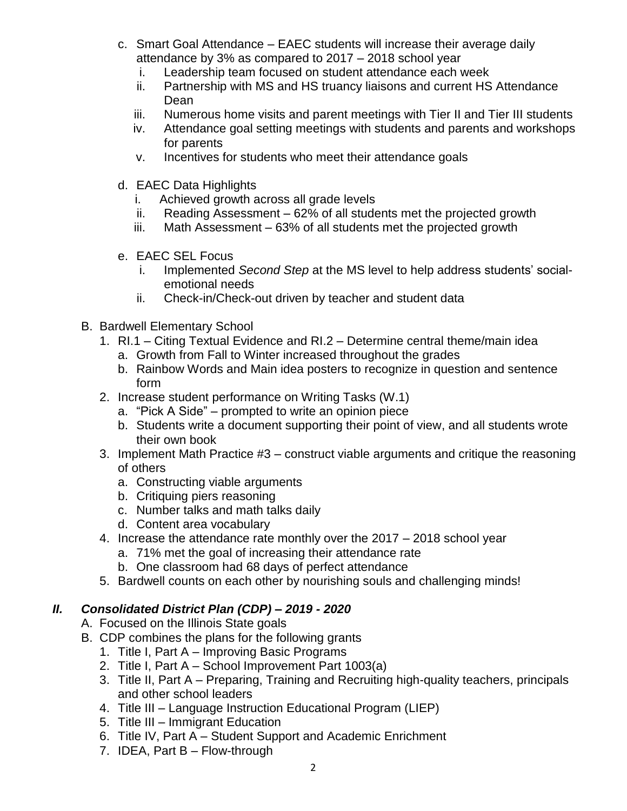- c. Smart Goal Attendance EAEC students will increase their average daily attendance by 3% as compared to 2017 – 2018 school year
	- i. Leadership team focused on student attendance each week
	- ii. Partnership with MS and HS truancy liaisons and current HS Attendance Dean
	- iii. Numerous home visits and parent meetings with Tier II and Tier III students
	- iv. Attendance goal setting meetings with students and parents and workshops for parents
	- v. Incentives for students who meet their attendance goals
- d. EAEC Data Highlights
	- i. Achieved growth across all grade levels
	- ii. Reading Assessment 62% of all students met the projected growth
	- iii. Math Assessment 63% of all students met the projected growth
- e. EAEC SEL Focus
	- i. Implemented *Second Step* at the MS level to help address students' socialemotional needs
	- ii. Check-in/Check-out driven by teacher and student data
- B. Bardwell Elementary School
	- 1. RI.1 Citing Textual Evidence and RI.2 Determine central theme/main idea
		- a. Growth from Fall to Winter increased throughout the grades
		- b. Rainbow Words and Main idea posters to recognize in question and sentence form
	- 2. Increase student performance on Writing Tasks (W.1)
		- a. "Pick A Side" prompted to write an opinion piece
		- b. Students write a document supporting their point of view, and all students wrote their own book
	- 3. Implement Math Practice #3 construct viable arguments and critique the reasoning of others
		- a. Constructing viable arguments
		- b. Critiquing piers reasoning
		- c. Number talks and math talks daily
		- d. Content area vocabulary
	- 4. Increase the attendance rate monthly over the 2017 2018 school year
		- a. 71% met the goal of increasing their attendance rate
		- b. One classroom had 68 days of perfect attendance
	- 5. Bardwell counts on each other by nourishing souls and challenging minds!

## *II. Consolidated District Plan (CDP) – 2019 - 2020*

- A. Focused on the Illinois State goals
- B. CDP combines the plans for the following grants
	- 1. Title I, Part A Improving Basic Programs
	- 2. Title I, Part A School Improvement Part 1003(a)
	- 3. Title II, Part A Preparing, Training and Recruiting high-quality teachers, principals and other school leaders
	- 4. Title III Language Instruction Educational Program (LIEP)
	- 5. Title III Immigrant Education
	- 6. Title IV, Part A Student Support and Academic Enrichment
	- 7. IDEA, Part B Flow-through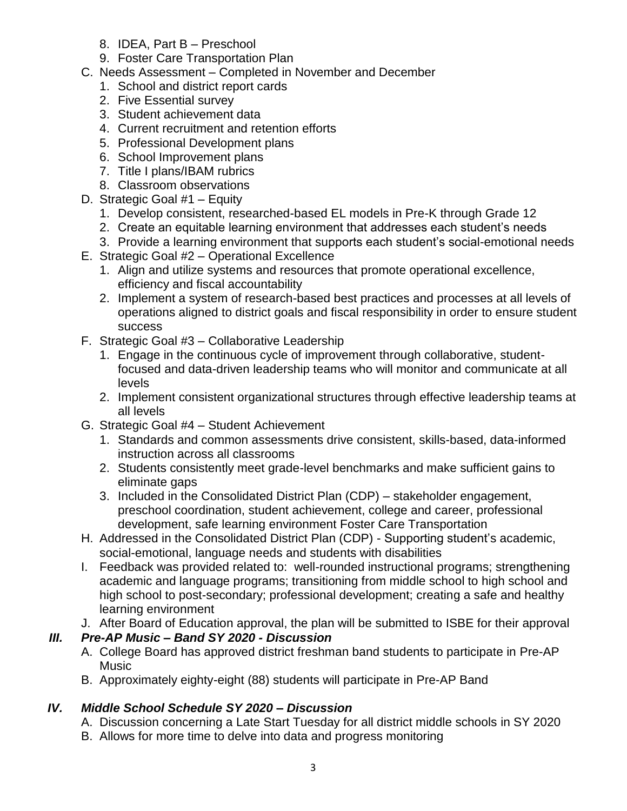- 8. IDEA, Part B Preschool
- 9. Foster Care Transportation Plan
- C. Needs Assessment Completed in November and December
	- 1. School and district report cards
	- 2. Five Essential survey
	- 3. Student achievement data
	- 4. Current recruitment and retention efforts
	- 5. Professional Development plans
	- 6. School Improvement plans
	- 7. Title I plans/IBAM rubrics
	- 8. Classroom observations
- D. Strategic Goal #1 Equity
	- 1. Develop consistent, researched-based EL models in Pre-K through Grade 12
	- 2. Create an equitable learning environment that addresses each student's needs
	- 3. Provide a learning environment that supports each student's social-emotional needs
- E. Strategic Goal #2 Operational Excellence
	- 1. Align and utilize systems and resources that promote operational excellence, efficiency and fiscal accountability
	- 2. Implement a system of research-based best practices and processes at all levels of operations aligned to district goals and fiscal responsibility in order to ensure student success
- F. Strategic Goal #3 Collaborative Leadership
	- 1. Engage in the continuous cycle of improvement through collaborative, studentfocused and data-driven leadership teams who will monitor and communicate at all levels
	- 2. Implement consistent organizational structures through effective leadership teams at all levels
- G. Strategic Goal #4 Student Achievement
	- 1. Standards and common assessments drive consistent, skills-based, data-informed instruction across all classrooms
	- 2. Students consistently meet grade-level benchmarks and make sufficient gains to eliminate gaps
	- 3. Included in the Consolidated District Plan (CDP) stakeholder engagement, preschool coordination, student achievement, college and career, professional development, safe learning environment Foster Care Transportation
- H. Addressed in the Consolidated District Plan (CDP) Supporting student's academic, social-emotional, language needs and students with disabilities
- I. Feedback was provided related to: well-rounded instructional programs; strengthening academic and language programs; transitioning from middle school to high school and high school to post-secondary; professional development; creating a safe and healthy learning environment
- J. After Board of Education approval, the plan will be submitted to ISBE for their approval

## *III. Pre-AP Music – Band SY 2020 - Discussion*

- A. College Board has approved district freshman band students to participate in Pre-AP Music
- B. Approximately eighty-eight (88) students will participate in Pre-AP Band

## *IV. Middle School Schedule SY 2020 – Discussion*

- A. Discussion concerning a Late Start Tuesday for all district middle schools in SY 2020
- B. Allows for more time to delve into data and progress monitoring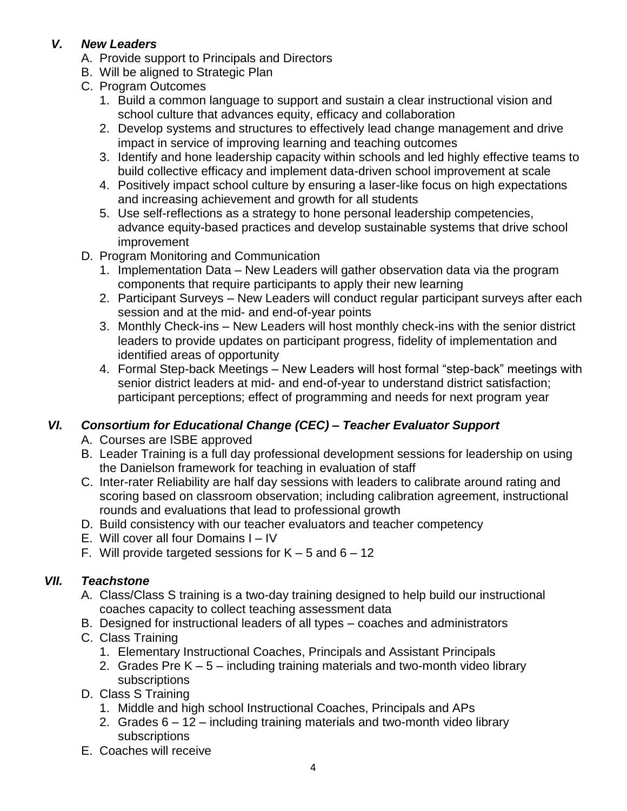## *V. New Leaders*

- A. Provide support to Principals and Directors
- B. Will be aligned to Strategic Plan
- C. Program Outcomes
	- 1. Build a common language to support and sustain a clear instructional vision and school culture that advances equity, efficacy and collaboration
	- 2. Develop systems and structures to effectively lead change management and drive impact in service of improving learning and teaching outcomes
	- 3. Identify and hone leadership capacity within schools and led highly effective teams to build collective efficacy and implement data-driven school improvement at scale
	- 4. Positively impact school culture by ensuring a laser-like focus on high expectations and increasing achievement and growth for all students
	- 5. Use self-reflections as a strategy to hone personal leadership competencies, advance equity-based practices and develop sustainable systems that drive school improvement
- D. Program Monitoring and Communication
	- 1. Implementation Data New Leaders will gather observation data via the program components that require participants to apply their new learning
	- 2. Participant Surveys New Leaders will conduct regular participant surveys after each session and at the mid- and end-of-year points
	- 3. Monthly Check-ins New Leaders will host monthly check-ins with the senior district leaders to provide updates on participant progress, fidelity of implementation and identified areas of opportunity
	- 4. Formal Step-back Meetings New Leaders will host formal "step-back" meetings with senior district leaders at mid- and end-of-year to understand district satisfaction; participant perceptions; effect of programming and needs for next program year

## *VI. Consortium for Educational Change (CEC) – Teacher Evaluator Support*

- A. Courses are ISBE approved
- B. Leader Training is a full day professional development sessions for leadership on using the Danielson framework for teaching in evaluation of staff
- C. Inter-rater Reliability are half day sessions with leaders to calibrate around rating and scoring based on classroom observation; including calibration agreement, instructional rounds and evaluations that lead to professional growth
- D. Build consistency with our teacher evaluators and teacher competency
- E. Will cover all four Domains I IV
- F. Will provide targeted sessions for  $K 5$  and  $6 12$

## *VII. Teachstone*

- A. Class/Class S training is a two-day training designed to help build our instructional coaches capacity to collect teaching assessment data
- B. Designed for instructional leaders of all types coaches and administrators
- C. Class Training
	- 1. Elementary Instructional Coaches, Principals and Assistant Principals
	- 2. Grades Pre K 5 including training materials and two-month video library subscriptions
- D. Class S Training
	- 1. Middle and high school Instructional Coaches, Principals and APs
	- 2. Grades 6 12 including training materials and two-month video library subscriptions
- E. Coaches will receive